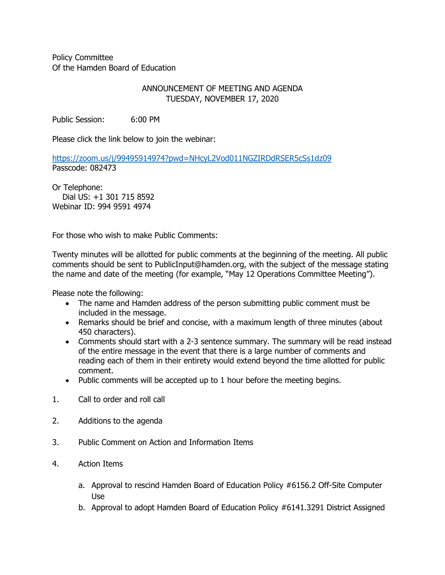Policy Committee Of the Hamden Board of Education

## ANNOUNCEMENT OF MEETING AND AGENDA TUESDAY, NOVEMBER 17, 2020

Public Session: 6:00 PM

Please click the link below to join the webinar:

<https://zoom.us/j/99495914974?pwd=NHcyL2Vod011NGZIRDdRSER5cSs1dz09> Passcode: 082473

Or Telephone: Dial US: +1 301 715 8592 Webinar ID: 994 9591 4974

For those who wish to make Public Comments:

Twenty minutes will be allotted for public comments at the beginning of the meeting. All public comments should be sent to PublicInput@hamden.org, with the subject of the message stating the name and date of the meeting (for example, "May 12 Operations Committee Meeting").

Please note the following:

- The name and Hamden address of the person submitting public comment must be included in the message.
- Remarks should be brief and concise, with a maximum length of three minutes (about 450 characters).
- Comments should start with a 2-3 sentence summary. The summary will be read instead of the entire message in the event that there is a large number of comments and reading each of them in their entirety would extend beyond the time allotted for public comment.
- Public comments will be accepted up to 1 hour before the meeting begins.
- 1. Call to order and roll call
- 2. Additions to the agenda
- 3. Public Comment on Action and Information Items
- 4. Action Items
	- a. Approval to rescind Hamden Board of Education Policy #6156.2 Off-Site Computer Use
	- b. Approval to adopt Hamden Board of Education Policy #6141.3291 District Assigned